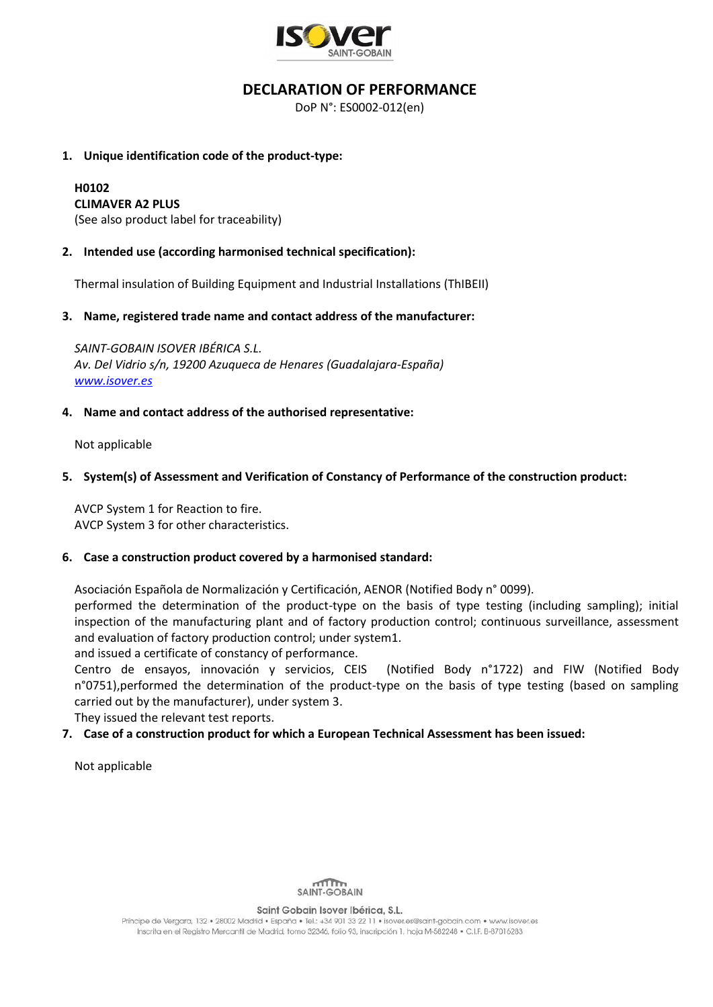

# **DECLARATION OF PERFORMANCE**

DoP N°: ES0002-012(en)

### **1. Unique identification code of the product-type:**

#### **H0102 CLIMAVER A2 PLUS**

(See also product label for traceability)

## **2. Intended use (according harmonised technical specification):**

Thermal insulation of Building Equipment and Industrial Installations (ThIBEII)

### **3. Name, registered trade name and contact address of the manufacturer:**

*SAINT-GOBAIN ISOVER IBÉRICA S.L. Av. Del Vidrio s/n, 19200 Azuqueca de Henares (Guadalajara-España) [www.isover.es](http://www.isover.es/)*

### **4. Name and contact address of the authorised representative:**

Not applicable

## **5. System(s) of Assessment and Verification of Constancy of Performance of the construction product:**

AVCP System 1 for Reaction to fire. AVCP System 3 for other characteristics.

#### **6. Case a construction product covered by a harmonised standard:**

Asociación Española de Normalización y Certificación, AENOR (Notified Body n° 0099).

performed the determination of the product-type on the basis of type testing (including sampling); initial inspection of the manufacturing plant and of factory production control; continuous surveillance, assessment and evaluation of factory production control; under system1.

and issued a certificate of constancy of performance.

Centro de ensayos, innovación y servicios, CEIS (Notified Body n°1722) and FIW (Notified Body n°0751),performed the determination of the product-type on the basis of type testing (based on sampling carried out by the manufacturer), under system 3.

They issued the relevant test reports.

## **7. Case of a construction product for which a European Technical Assessment has been issued:**

Not applicable



Saint Gobain Isover Ibérica, S.L.

Príncipe de Vergara, 132 · 28002 Madrid · España · Tel.: +34 901 33 22 11 · isover.es@saint-aobain.com · www.isover.es Inscrita en el Registro Mercantil de Madrid, tomo 32346, folio 93, inscripción 1, hoja M-582248 · C.I.F. B-87016283